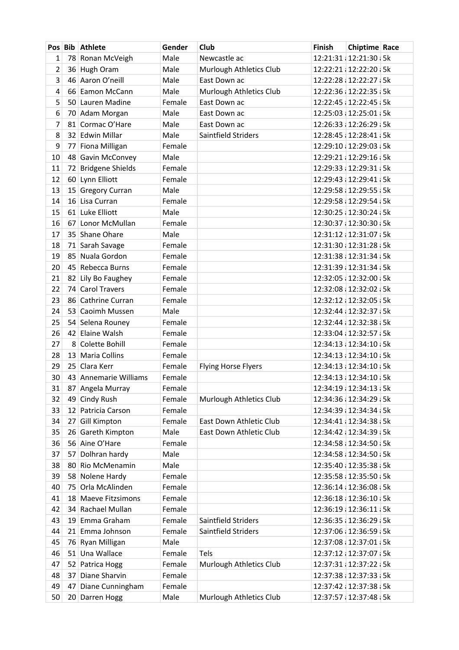|                | Pos Bib Athlete                      | Gender           | Club                       | <b>Finish</b> | <b>Chiptime Race</b>                         |  |
|----------------|--------------------------------------|------------------|----------------------------|---------------|----------------------------------------------|--|
| 1              | 78 Ronan McVeigh                     | Male             | Newcastle ac               |               | 12:21:31 12:21:30 5k                         |  |
| $\overline{2}$ | 36 Hugh Oram                         | Male             | Murlough Athletics Club    |               | 12:22:21 12:22:20 5k                         |  |
| 3              | 46 Aaron O'neill                     | Male             | East Down ac               |               | 12:22:28 12:22:27 5k                         |  |
| 4              | 66 Eamon McCann                      | Male             | Murlough Athletics Club    |               | 12:22:36 12:22:35 5k                         |  |
| 5              | 50 Lauren Madine                     | Female           | East Down ac               |               | 12:22:45 12:22:45 5k                         |  |
| 6              | 70 Adam Morgan                       | Male             | East Down ac               |               | 12:25:03 12:25:01 5k                         |  |
| $\overline{7}$ | 81 Cormac O'Hare                     | Male             | East Down ac               |               | 12:26:33 12:26:29 5k                         |  |
| 8              | 32 Edwin Millar                      | Male             | Saintfield Striders        |               | 12:28:45 12:28:41 5k                         |  |
| 9              | 77 Fiona Milligan                    | Female           |                            |               | 12:29:10 12:29:03 5k                         |  |
| 10             | 48 Gavin McConvey                    | Male             |                            |               | 12:29:21 12:29:16 5k                         |  |
| 11             | 72 Bridgene Shields                  | Female           |                            |               | 12:29:33 12:29:31 5k                         |  |
| 12             | 60 Lynn Elliott                      | Female           |                            |               | 12:29:43 12:29:41 5k                         |  |
| 13             | 15 Gregory Curran                    | Male             |                            |               | 12:29:58 12:29:55 5k                         |  |
| 14             | 16 Lisa Curran                       | Female           |                            |               | 12:29:58 12:29:54 5k                         |  |
| 15             | 61 Luke Elliott                      | Male             |                            |               | 12:30:25 12:30:24 5k                         |  |
| 16             | 67 Lonor McMullan                    | Female           |                            |               | 12:30:37 12:30:30 5k                         |  |
| 17             | 35 Shane Ohare                       | Male             |                            |               | 12:31:12 12:31:07 5k                         |  |
| 18             | 71 Sarah Savage                      | Female           |                            |               | 12:31:30 12:31:28 5k                         |  |
| 19             | 85 Nuala Gordon                      | Female           |                            |               | 12:31:38 12:31:34 5k                         |  |
| 20             | 45 Rebecca Burns                     | Female           |                            |               | 12:31:39 12:31:34 5k                         |  |
| 21             | 82 Lily Bo Faughey                   | Female           |                            |               | 12:32:05 12:32:00 5k                         |  |
| 22             | 74 Carol Travers                     | Female           |                            |               | 12:32:08 12:32:02 5k                         |  |
| 23             | 86 Cathrine Curran                   | Female           |                            |               | 12:32:12 12:32:05 5k                         |  |
| 24             | 53 Caoimh Mussen                     | Male             |                            |               | 12:32:44 12:32:37 5k                         |  |
| 25             | 54 Selena Rouney                     | Female           |                            |               | 12:32:44 12:32:38 5k                         |  |
| 26             | 42 Elaine Walsh                      | Female           |                            |               | 12:33:04 12:32:57 5k                         |  |
| 27             | 8 Colette Bohill                     | Female           |                            |               | 12:34:13 12:34:10 5k                         |  |
| 28             | 13 Maria Collins                     | Female           |                            |               | 12:34:13 12:34:10 5k                         |  |
| 29             | 25 Clara Kerr                        | Female           | <b>Flying Horse Flyers</b> |               | 12:34:13 12:34:10 5k                         |  |
| 30             | 43 Annemarie Williams                | Female           |                            |               | 12:34:13 12:34:10 5k                         |  |
| 31             | 87 Angela Murray                     | Female           |                            |               | 12:34:19 12:34:13 5k                         |  |
| 32             | 49 Cindy Rush                        | Female           | Murlough Athletics Club    |               | 12:34:36 12:34:29 5k                         |  |
| 33             | 12 Patricia Carson                   | Female           |                            |               | 12:34:39 12:34:34 5k                         |  |
| 34             | 27 Gill Kimpton                      | Female           | East Down Athletic Club    |               | 12:34:41 12:34:38 5k                         |  |
| 35             | 26 Gareth Kimpton                    | Male             | East Down Athletic Club    |               | 12:34:42 12:34:39 5k                         |  |
| 36             | 56 Aine O'Hare                       | Female           |                            |               | 12:34:58 12:34:50   5k                       |  |
| 37             | 57 Dolhran hardy                     | Male             |                            |               | 12:34:58 12:34:50 5k                         |  |
| 38             | 80 Rio McMenamin                     | Male<br>Female   |                            |               | 12:35:40 12:35:38 5k<br>12:35:58 12:35:50 5k |  |
| 39             | 58 Nolene Hardy<br>75 Orla McAlinden | Female           |                            |               | 12:36:14 12:36:08 5k                         |  |
| 40             | 18 Maeve Fitzsimons                  | Female           |                            |               |                                              |  |
| 41             |                                      |                  |                            |               | 12:36:18 12:36:10   5k                       |  |
| 42             | 34 Rachael Mullan                    | Female<br>Female | Saintfield Striders        |               | 12:36:19 12:36:11 5k                         |  |
| 43<br>44       | 19 Emma Graham<br>21 Emma Johnson    | Female           | Saintfield Striders        |               | 12:36:35 12:36:29 5k                         |  |
|                |                                      | Male             |                            |               | 12:37:06 12:36:59 5k<br>12:37:08 12:37:01 5k |  |
| 45<br>46       | 76 Ryan Milligan<br>51 Una Wallace   | Female           | Tels                       |               | 12:37:12 12:37:07 5k                         |  |
| 47             | 52 Patrica Hogg                      | Female           | Murlough Athletics Club    |               | 12:37:31 12:37:22 5k                         |  |
| 48             | 37 Diane Sharvin                     | Female           |                            |               | 12:37:38 12:37:33 5k                         |  |
| 49             | 47 Diane Cunningham                  | Female           |                            |               | 12:37:42 12:37:38 5k                         |  |
| 50             | 20 Darren Hogg                       | Male             | Murlough Athletics Club    |               | 12:37:57 12:37:48 5k                         |  |
|                |                                      |                  |                            |               |                                              |  |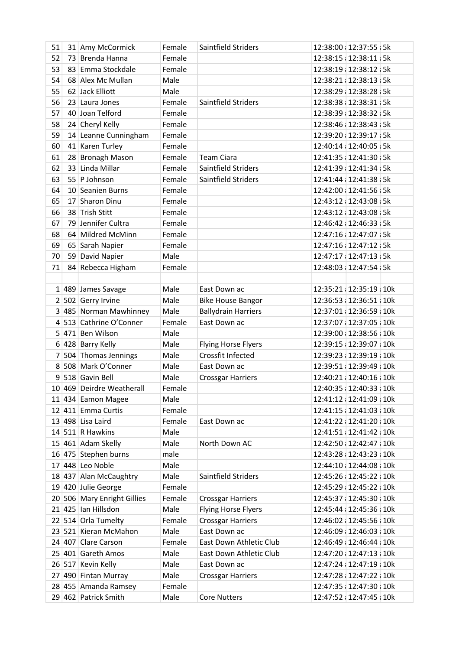| 51 | 31 Amy McCormick            | Female | Saintfield Striders        | 12:38:00 12:37:55 5k   |
|----|-----------------------------|--------|----------------------------|------------------------|
| 52 | 73 Brenda Hanna             | Female |                            | 12:38:15 12:38:11 5k   |
| 53 | 83 Emma Stockdale           | Female |                            | 12:38:19 12:38:12 5k   |
| 54 | 68 Alex Mc Mullan           | Male   |                            | 12:38:21 12:38:13 5k   |
| 55 | 62 Jack Elliott             | Male   |                            | 12:38:29 12:38:28 5k   |
| 56 | 23 Laura Jones              | Female | Saintfield Striders        | 12:38:38 12:38:31 5k   |
| 57 | 40 Joan Telford             | Female |                            | 12:38:39 12:38:32 5k   |
| 58 | 24 Cheryl Kelly             | Female |                            | 12:38:46 12:38:43 5k   |
| 59 | 14 Leanne Cunningham        | Female |                            | 12:39:20 12:39:17 5k   |
| 60 | 41 Karen Turley             | Female |                            | 12:40:14 12:40:05   5k |
| 61 | 28 Bronagh Mason            | Female | <b>Team Ciara</b>          | 12:41:35 12:41:30 5k   |
| 62 | 33 Linda Millar             | Female | Saintfield Striders        | 12:41:39 12:41:34 5k   |
| 63 | 55 P Johnson                | Female | Saintfield Striders        | 12:41:44 12:41:38 5k   |
| 64 | 10 Seanien Burns            | Female |                            | 12:42:00 12:41:56 5k   |
| 65 | 17 Sharon Dinu              | Female |                            | 12:43:12 12:43:08 5k   |
| 66 | 38 Trish Stitt              | Female |                            | 12:43:12 12:43:08 5k   |
| 67 | 79 Jennifer Cultra          | Female |                            | 12:46:42 12:46:33 5k   |
| 68 | 64 Mildred McMinn           | Female |                            | 12:47:16 12:47:07 5k   |
| 69 | 65 Sarah Napier             | Female |                            | 12:47:16 12:47:12 5k   |
| 70 | 59 David Napier             | Male   |                            | 12:47:17 12:47:13 5k   |
| 71 | 84 Rebecca Higham           | Female |                            | 12:48:03 12:47:54 5k   |
|    |                             |        |                            |                        |
|    | 1 489 James Savage          | Male   | East Down ac               | 12:35:21 12:35:19 10k  |
|    | 2 502 Gerry Irvine          | Male   | <b>Bike House Bangor</b>   | 12:36:53 12:36:51 10k  |
|    | 3 485 Norman Mawhinney      | Male   | <b>Ballydrain Harriers</b> | 12:37:01 12:36:59 10k  |
|    | 4 513 Cathrine O'Conner     | Female | East Down ac               | 12:37:07 12:37:05 10k  |
|    | 5 471 Ben Wilson            | Male   |                            | 12:39:00 12:38:56 10k  |
|    | 6 428 Barry Kelly           | Male   | <b>Flying Horse Flyers</b> | 12:39:15 12:39:07 10k  |
|    | 7 504 Thomas Jennings       | Male   | Crossfit Infected          | 12:39:23 12:39:19 10k  |
|    | 8 508 Mark O'Conner         | Male   | East Down ac               | 12:39:51 12:39:49 10k  |
|    | 9 518 Gavin Bell            | Male   | <b>Crossgar Harriers</b>   | 12:40:21 12:40:16 10k  |
|    | 10 469 Deirdre Weatherall   | Female |                            | 12:40:35 12:40:33 10k  |
|    | 11 434 Eamon Magee          | Male   |                            | 12:41:12 12:41:09 10k  |
|    | 12 411 Emma Curtis          | Female |                            | 12:41:15 12:41:03 10k  |
|    | 13 498 Lisa Laird           | Female | East Down ac               | 12:41:22 12:41:20 10k  |
|    | 14 511 R Hawkins            | Male   |                            | 12:41:51 12:41:42 10k  |
|    | 15 461 Adam Skelly          | Male   | North Down AC              | 12:42:50 12:42:47 10k  |
|    | 16 475 Stephen burns        | male   |                            | 12:43:28 12:43:23 10k  |
|    | 17 448 Leo Noble            | Male   |                            | 12:44:10 12:44:08 10k  |
|    | 18 437 Alan McCaughtry      | Male   | Saintfield Striders        | 12:45:26 12:45:22 10k  |
|    | 19 420 Julie George         | Female |                            | 12:45:29 12:45:22 10k  |
|    | 20 506 Mary Enright Gillies | Female | <b>Crossgar Harriers</b>   | 12:45:37 12:45:30 10k  |
|    | $21$ 425 Ian Hillsdon       | Male   | <b>Flying Horse Flyers</b> | 12:45:44 12:45:36 10k  |
|    | 22 514 Orla Tumelty         | Female | <b>Crossgar Harriers</b>   | 12:46:02 12:45:56 10k  |
|    | 23 521 Kieran McMahon       | Male   | East Down ac               | 12:46:09 12:46:03 10k  |
|    | 24 407 Clare Carson         | Female | East Down Athletic Club    | 12:46:49 12:46:44 10k  |
|    | 25 401 Gareth Amos          | Male   | East Down Athletic Club    | 12:47:20 12:47:13 10k  |
|    | 26 517 Kevin Kelly          | Male   | East Down ac               | 12:47:24 12:47:19 10k  |
|    | 27 490 Fintan Murray        | Male   | <b>Crossgar Harriers</b>   | 12:47:28 12:47:22 10k  |
|    | 28 455 Amanda Ramsey        | Female |                            | 12:47:35 12:47:30 10k  |
|    | 29 462 Patrick Smith        | Male   | <b>Core Nutters</b>        | 12:47:52 12:47:45 10k  |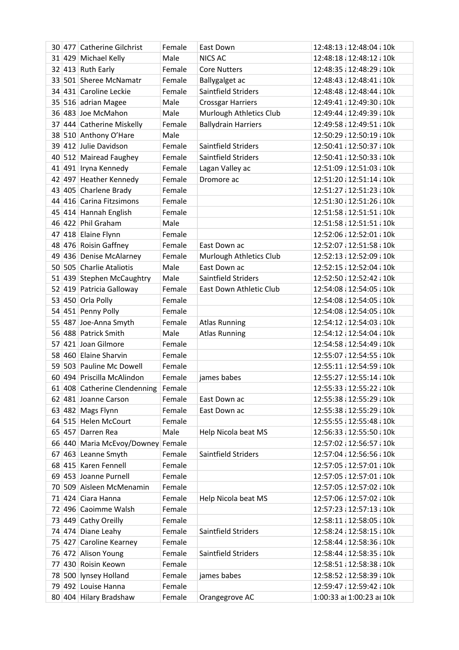|  | 30 477 Catherine Gilchrist          | Female | East Down                  | 12:48:13 12:48:04 10k     |
|--|-------------------------------------|--------|----------------------------|---------------------------|
|  | 31 429 Michael Kelly                | Male   | <b>NICS AC</b>             | 12:48:18 12:48:12 10k     |
|  | 32 413 Ruth Early                   | Female | <b>Core Nutters</b>        | 12:48:35 12:48:29 10k     |
|  | 33 501 Sheree McNamatr              | Female | Ballygalget ac             | 12:48:43 12:48:41 10k     |
|  | 34 431 Caroline Leckie              | Female | Saintfield Striders        | 12:48:48 12:48:44 10k     |
|  | 35 516 adrian Magee                 | Male   | <b>Crossgar Harriers</b>   | 12:49:41 12:49:30 10k     |
|  | 36 483 Joe McMahon                  | Male   | Murlough Athletics Club    | 12:49:44 12:49:39 10k     |
|  | 37 444 Catherine Miskelly           | Female | <b>Ballydrain Harriers</b> | 12:49:58 12:49:51 10k     |
|  | 38 510 Anthony O'Hare               | Male   |                            | 12:50:29 12:50:19 10k     |
|  | 39 412 Julie Davidson               | Female | Saintfield Striders        | 12:50:41 12:50:37 10k     |
|  | 40 512 Mairead Faughey              | Female | Saintfield Striders        | 12:50:41 12:50:33 10k     |
|  | 41 491 Iryna Kennedy                | Female | Lagan Valley ac            | 12:51:09 12:51:03 10k     |
|  | 42 497 Heather Kennedy              | Female | Dromore ac                 | 12:51:20 12:51:14 10k     |
|  | 43 405 Charlene Brady               | Female |                            | 12:51:27 12:51:23 10k     |
|  | 44 416 Carina Fitzsimons            | Female |                            | 12:51:30 12:51:26 10k     |
|  | 45 414 Hannah English               | Female |                            | 12:51:58 12:51:51 10k     |
|  | 46 422 Phil Graham                  | Male   |                            | 12:51:58 12:51:51 10k     |
|  | 47 418 Elaine Flynn                 | Female |                            | 12:52:06 12:52:01 10k     |
|  | 48 476 Roisin Gaffney               | Female | East Down ac               | 12:52:07 12:51:58 10k     |
|  | 49 436 Denise McAlarney             | Female | Murlough Athletics Club    | 12:52:13 12:52:09 10k     |
|  | 50 505 Charlie Ataliotis            | Male   | East Down ac               | 12:52:15 12:52:04 10k     |
|  | 51 439 Stephen McCaughtry           | Male   | Saintfield Striders        | 12:52:50 12:52:42 10k     |
|  | 52 419 Patricia Galloway            | Female | East Down Athletic Club    | 12:54:08 12:54:05 10k     |
|  | 53 450 Orla Polly                   | Female |                            | 12:54:08 12:54:05 10k     |
|  | 54 451 Penny Polly                  | Female |                            | 12:54:08 12:54:05 10k     |
|  | 55 487 Joe-Anna Smyth               | Female | <b>Atlas Running</b>       | 12:54:12 12:54:03 10k     |
|  | 56 488 Patrick Smith                | Male   | <b>Atlas Running</b>       | 12:54:12 12:54:04 10k     |
|  | 57 421 Joan Gilmore                 | Female |                            | 12:54:58 12:54:49 10k     |
|  | 58 460 Elaine Sharvin               | Female |                            | 12:55:07 12:54:55 10k     |
|  | 59 503 Pauline Mc Dowell            | Female |                            | 12:55:11 12:54:59 10k     |
|  | 60 494 Priscilla McAlindon          | Female | james babes                | 12:55:27 12:55:14 10k     |
|  | 61 408 Catherine Clendenning Female |        |                            | 12:55:33 12:55:22 10k     |
|  | 62 481 Joanne Carson                | Female | East Down ac               | 12:55:38 12:55:29 10k     |
|  | 63 482 Mags Flynn                   | Female | East Down ac               | 12:55:38 12:55:29 10k     |
|  | 64 515 Helen McCourt                | Female |                            | 12:55:55 12:55:48 10k     |
|  | 65 457 Darren Rea                   | Male   | Help Nicola beat MS        | 12:56:33 12:55:50 10k     |
|  | 66 440 Maria McEvoy/Downey Female   |        |                            | 12:57:02 12:56:57 10k     |
|  | 67 463 Leanne Smyth                 | Female | Saintfield Striders        | 12:57:04 12:56:56 10k     |
|  | 68 415 Karen Fennell                | Female |                            | 12:57:05 12:57:01 10k     |
|  | 69 453 Joanne Purnell               | Female |                            | 12:57:05 12:57:01 10k     |
|  | 70 509 Aisleen McMenamin            | Female |                            | 12:57:05 12:57:02 10k     |
|  | 71 424 Ciara Hanna                  | Female | Help Nicola beat MS        | 12:57:06 12:57:02 10k     |
|  | 72 496 Caoimme Walsh                | Female |                            | 12:57:23 12:57:13 10k     |
|  | 73 449 Cathy Oreilly                | Female |                            | 12:58:11 12:58:05 10k     |
|  | 74 474 Diane Leahy                  | Female | Saintfield Striders        | 12:58:24 12:58:15 10k     |
|  | 75 427 Caroline Kearney             | Female |                            | 12:58:44 12:58:36 10k     |
|  | 76 472 Alison Young                 | Female | Saintfield Striders        | 12:58:44 12:58:35 10k     |
|  | 77 430 Roisin Keown                 | Female |                            | 12:58:51 12:58:38 10k     |
|  | 78 500 lynsey Holland               | Female | james babes                | 12:58:52 12:58:39 10k     |
|  | 79 492 Louise Hanna                 | Female |                            | 12:59:47 12:59:42 10k     |
|  | 80 404 Hilary Bradshaw              | Female | Orangegrove AC             | 1:00:33 al 1:00:23 al 10k |